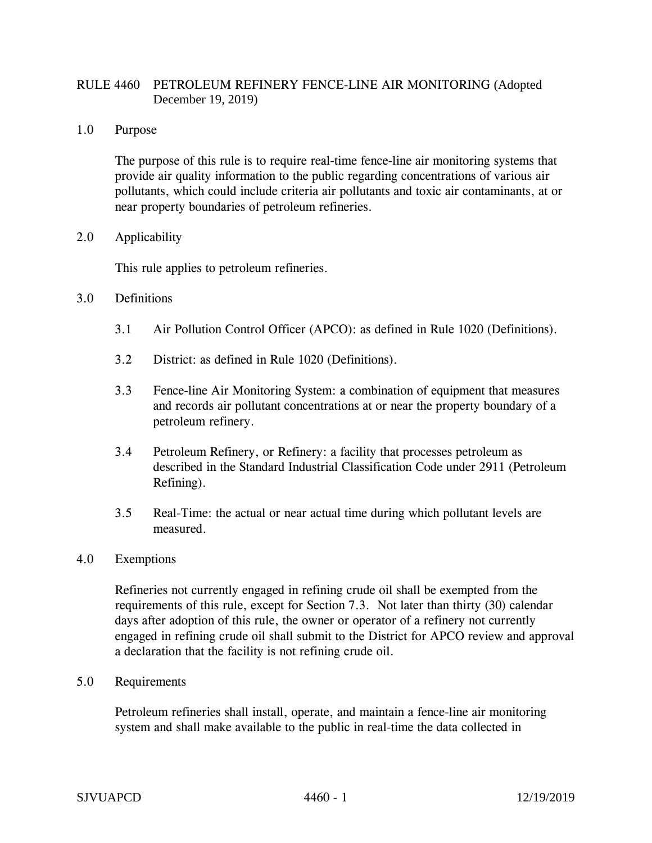## RULE 4460 PETROLEUM REFINERY FENCE-LINE AIR MONITORING (Adopted December 19, 2019)

1.0 Purpose

The purpose of this rule is to require real-time fence-line air monitoring systems that provide air quality information to the public regarding concentrations of various air pollutants, which could include criteria air pollutants and toxic air contaminants, at or near property boundaries of petroleum refineries.

2.0 Applicability

This rule applies to petroleum refineries.

- 3.0 Definitions
	- 3.1 Air Pollution Control Officer (APCO): as defined in Rule 1020 (Definitions).
	- 3.2 District: as defined in Rule 1020 (Definitions).
	- 3.3 Fence-line Air Monitoring System: a combination of equipment that measures and records air pollutant concentrations at or near the property boundary of a petroleum refinery.
	- 3.4 Petroleum Refinery, or Refinery: a facility that processes petroleum as described in the Standard Industrial Classification Code under 2911 (Petroleum Refining).
	- 3.5 Real-Time: the actual or near actual time during which pollutant levels are measured.
- 4.0 Exemptions

Refineries not currently engaged in refining crude oil shall be exempted from the requirements of this rule, except for Section 7.3. Not later than thirty (30) calendar days after adoption of this rule, the owner or operator of a refinery not currently engaged in refining crude oil shall submit to the District for APCO review and approval a declaration that the facility is not refining crude oil.

5.0 Requirements

Petroleum refineries shall install, operate, and maintain a fence-line air monitoring system and shall make available to the public in real-time the data collected in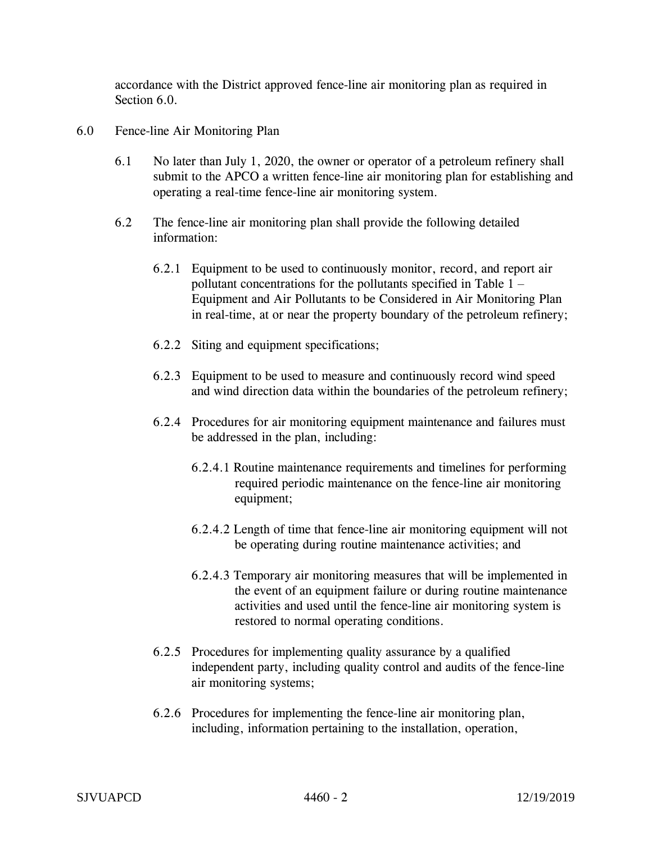accordance with the District approved fence-line air monitoring plan as required in Section 6.0.

- 6.0 Fence-line Air Monitoring Plan
	- 6.1 No later than July 1, 2020, the owner or operator of a petroleum refinery shall submit to the APCO a written fence-line air monitoring plan for establishing and operating a real-time fence-line air monitoring system.
	- 6.2 The fence-line air monitoring plan shall provide the following detailed information:
		- 6.2.1 Equipment to be used to continuously monitor, record, and report air pollutant concentrations for the pollutants specified in Table  $1 -$ Equipment and Air Pollutants to be Considered in Air Monitoring Plan in real-time, at or near the property boundary of the petroleum refinery;
		- 6.2.2 Siting and equipment specifications;
		- 6.2.3 Equipment to be used to measure and continuously record wind speed and wind direction data within the boundaries of the petroleum refinery;
		- 6.2.4 Procedures for air monitoring equipment maintenance and failures must be addressed in the plan, including:
			- 6.2.4.1 Routine maintenance requirements and timelines for performing required periodic maintenance on the fence-line air monitoring equipment;
			- 6.2.4.2 Length of time that fence-line air monitoring equipment will not be operating during routine maintenance activities; and
			- 6.2.4.3 Temporary air monitoring measures that will be implemented in the event of an equipment failure or during routine maintenance activities and used until the fence-line air monitoring system is restored to normal operating conditions.
		- 6.2.5 Procedures for implementing quality assurance by a qualified independent party, including quality control and audits of the fence-line air monitoring systems;
		- 6.2.6 Procedures for implementing the fence-line air monitoring plan, including, information pertaining to the installation, operation,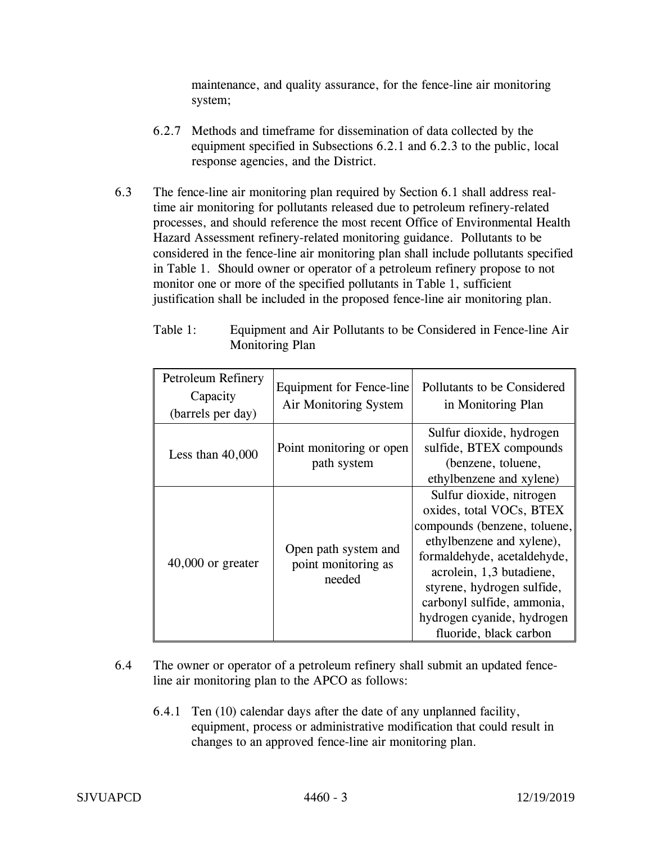maintenance, and quality assurance, for the fence-line air monitoring system;

- 6.2.7 Methods and timeframe for dissemination of data collected by the equipment specified in Subsections 6.2.1 and 6.2.3 to the public, local response agencies, and the District.
- 6.3 The fence-line air monitoring plan required by Section 6.1 shall address realtime air monitoring for pollutants released due to petroleum refinery-related processes, and should reference the most recent Office of Environmental Health Hazard Assessment refinery-related monitoring guidance. Pollutants to be considered in the fence-line air monitoring plan shall include pollutants specified in Table 1. Should owner or operator of a petroleum refinery propose to not monitor one or more of the specified pollutants in Table 1, sufficient justification shall be included in the proposed fence-line air monitoring plan.

| Petroleum Refinery<br>Capacity<br>(barrels per day) | <b>Equipment for Fence-line</b><br>Air Monitoring System | Pollutants to be Considered<br>in Monitoring Plan                                                                                                                                                                                                                                                |
|-----------------------------------------------------|----------------------------------------------------------|--------------------------------------------------------------------------------------------------------------------------------------------------------------------------------------------------------------------------------------------------------------------------------------------------|
| Less than $40,000$                                  | Point monitoring or open<br>path system                  | Sulfur dioxide, hydrogen<br>sulfide, BTEX compounds<br>(benzene, toluene,<br>ethylbenzene and xylene)                                                                                                                                                                                            |
| $40,000$ or greater                                 | Open path system and<br>point monitoring as<br>needed    | Sulfur dioxide, nitrogen<br>oxides, total VOCs, BTEX<br>compounds (benzene, toluene,<br>ethylbenzene and xylene),<br>formaldehyde, acetaldehyde,<br>acrolein, 1,3 butadiene,<br>styrene, hydrogen sulfide,<br>carbonyl sulfide, ammonia,<br>hydrogen cyanide, hydrogen<br>fluoride, black carbon |

Table 1: Equipment and Air Pollutants to be Considered in Fence-line Air Monitoring Plan

- 6.4 The owner or operator of a petroleum refinery shall submit an updated fenceline air monitoring plan to the APCO as follows:
	- 6.4.1 Ten (10) calendar days after the date of any unplanned facility, equipment, process or administrative modification that could result in changes to an approved fence-line air monitoring plan.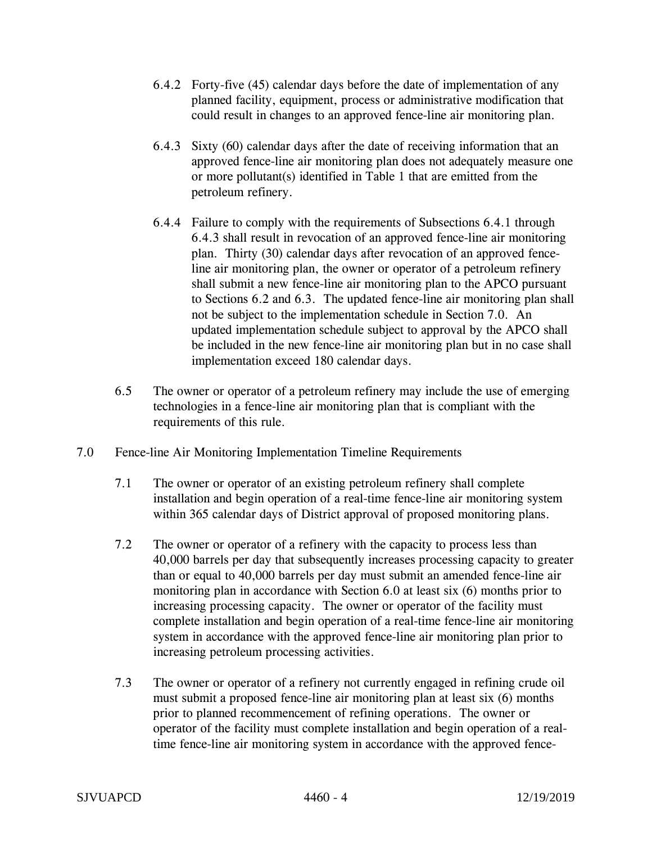- 6.4.2 Forty-five (45) calendar days before the date of implementation of any planned facility, equipment, process or administrative modification that could result in changes to an approved fence-line air monitoring plan.
- 6.4.3 Sixty (60) calendar days after the date of receiving information that an approved fence-line air monitoring plan does not adequately measure one or more pollutant(s) identified in Table 1 that are emitted from the petroleum refinery.
- 6.4.4 Failure to comply with the requirements of Subsections 6.4.1 through 6.4.3 shall result in revocation of an approved fence-line air monitoring plan. Thirty (30) calendar days after revocation of an approved fenceline air monitoring plan, the owner or operator of a petroleum refinery shall submit a new fence-line air monitoring plan to the APCO pursuant to Sections 6.2 and 6.3. The updated fence-line air monitoring plan shall not be subject to the implementation schedule in Section 7.0. An updated implementation schedule subject to approval by the APCO shall be included in the new fence-line air monitoring plan but in no case shall implementation exceed 180 calendar days.
- 6.5 The owner or operator of a petroleum refinery may include the use of emerging technologies in a fence-line air monitoring plan that is compliant with the requirements of this rule.
- 7.0 Fence-line Air Monitoring Implementation Timeline Requirements
	- 7.1 The owner or operator of an existing petroleum refinery shall complete installation and begin operation of a real-time fence-line air monitoring system within 365 calendar days of District approval of proposed monitoring plans.
	- 7.2 The owner or operator of a refinery with the capacity to process less than 40,000 barrels per day that subsequently increases processing capacity to greater than or equal to 40,000 barrels per day must submit an amended fence-line air monitoring plan in accordance with Section 6.0 at least six (6) months prior to increasing processing capacity. The owner or operator of the facility must complete installation and begin operation of a real-time fence-line air monitoring system in accordance with the approved fence-line air monitoring plan prior to increasing petroleum processing activities.
	- 7.3 The owner or operator of a refinery not currently engaged in refining crude oil must submit a proposed fence-line air monitoring plan at least six (6) months prior to planned recommencement of refining operations. The owner or operator of the facility must complete installation and begin operation of a realtime fence-line air monitoring system in accordance with the approved fence-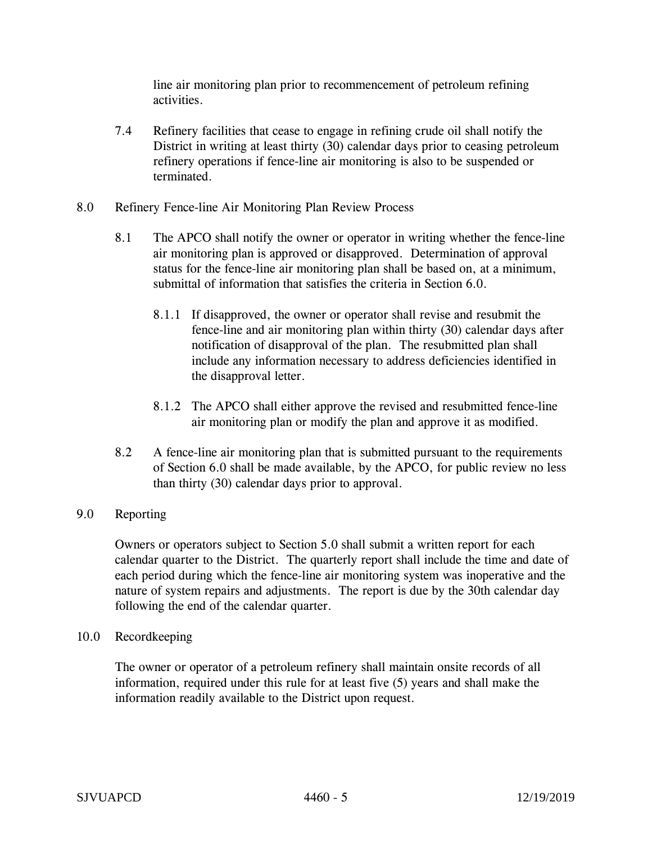line air monitoring plan prior to recommencement of petroleum refining activities.

- 7.4 Refinery facilities that cease to engage in refining crude oil shall notify the District in writing at least thirty (30) calendar days prior to ceasing petroleum refinery operations if fence-line air monitoring is also to be suspended or terminated.
- 8.0 Refinery Fence-line Air Monitoring Plan Review Process
	- 8.1 The APCO shall notify the owner or operator in writing whether the fence-line air monitoring plan is approved or disapproved. Determination of approval status for the fence-line air monitoring plan shall be based on, at a minimum, submittal of information that satisfies the criteria in Section 6.0.
		- 8.1.1 If disapproved, the owner or operator shall revise and resubmit the fence-line and air monitoring plan within thirty (30) calendar days after notification of disapproval of the plan. The resubmitted plan shall include any information necessary to address deficiencies identified in the disapproval letter.
		- 8.1.2 The APCO shall either approve the revised and resubmitted fence-line air monitoring plan or modify the plan and approve it as modified.
	- 8.2 A fence-line air monitoring plan that is submitted pursuant to the requirements of Section 6.0 shall be made available, by the APCO, for public review no less than thirty (30) calendar days prior to approval.
- 9.0 Reporting

Owners or operators subject to Section 5.0 shall submit a written report for each calendar quarter to the District. The quarterly report shall include the time and date of each period during which the fence-line air monitoring system was inoperative and the nature of system repairs and adjustments. The report is due by the 30th calendar day following the end of the calendar quarter.

10.0 Recordkeeping

The owner or operator of a petroleum refinery shall maintain onsite records of all information, required under this rule for at least five (5) years and shall make the information readily available to the District upon request.